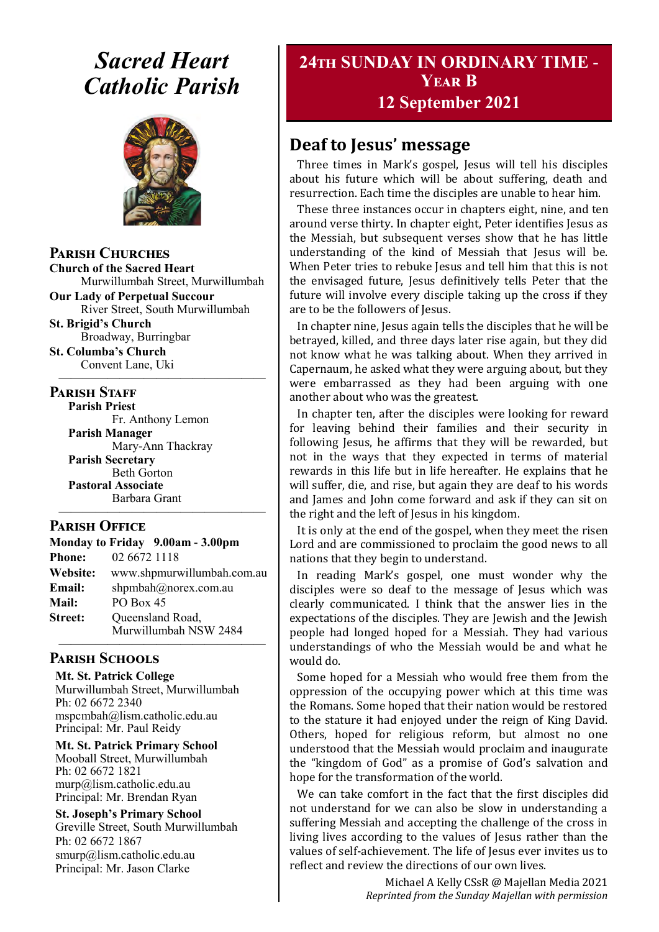# *Sacred Heart Catholic Parish*



#### **Parish Churches**

**Church of the Sacred Heart** Murwillumbah Street, Murwillumbah

**Our Lady of Perpetual Succour** River Street, South Murwillumbah

**St. Brigid's Church** Broadway, Burringbar **St. Columba's Church**

Convent Lane, Uki —————————————————

#### **PARISH STAFF**

**Parish Priest**

Fr. Anthony Lemon **Parish Manager** Mary-Ann Thackray **Parish Secretary** Beth Gorton **Pastoral Associate** Barbara Grant

#### **Parish Office**

| Monday to Friday 9.00am - 3.00pm |                                           |
|----------------------------------|-------------------------------------------|
| <b>Phone:</b>                    | 02 6672 1118                              |
| Website:                         | www.shpmurwillumbah.com.au                |
| Email:                           | shpmbah@norex.com.au                      |
| <b>Mail:</b>                     | PO Box 45                                 |
| <b>Street:</b>                   | Queensland Road,<br>Murwillumbah NSW 2484 |
|                                  |                                           |

—————————————————

#### **Parish Schools**

**Mt. St. Patrick College** Murwillumbah Street, Murwillumbah Ph: 02 6672 2340 mspcmbah@lism.catholic.edu.au Principal: Mr. Paul Reidy

**Mt. St. Patrick Primary School** Mooball Street, Murwillumbah Ph: 02 6672 1821 murp@lism.catholic.edu.au Principal: Mr. Brendan Ryan

**St. Joseph's Primary School** Greville Street, South Murwillumbah Ph: 02 6672 1867 smurp@lism.catholic.edu.au Principal: Mr. Jason Clarke

# **24th SUNDAY IN ORDINARY TIME - Year B 12 September 2021**

# **Deaf to Jesus' message**

Three times in Mark's gospel, Jesus will tell his disciples about his future which will be about suffering, death and resurrection. Each time the disciples are unable to hear him.

These three instances occur in chapters eight, nine, and ten around verse thirty. In chapter eight, Peter identifies Jesus as the Messiah, but subsequent verses show that he has little understanding of the kind of Messiah that Jesus will be. When Peter tries to rebuke Jesus and tell him that this is not the envisaged future, Jesus definitively tells Peter that the future will involve every disciple taking up the cross if they are to be the followers of Jesus.

In chapter nine, Jesus again tells the disciples that he will be betrayed, killed, and three days later rise again, but they did not know what he was talking about. When they arrived in Capernaum, he asked what they were arguing about, but they were embarrassed as they had been arguing with one another about who was the greatest.

In chapter ten, after the disciples were looking for reward for leaving behind their families and their security in following Jesus, he affirms that they will be rewarded, but not in the ways that they expected in terms of material rewards in this life but in life hereafter. He explains that he will suffer, die, and rise, but again they are deaf to his words and James and John come forward and ask if they can sit on the right and the left of Jesus in his kingdom.

It is only at the end of the gospel, when they meet the risen Lord and are commissioned to proclaim the good news to all nations that they begin to understand.

In reading Mark's gospel, one must wonder why the disciples were so deaf to the message of Jesus which was clearly communicated. I think that the answer lies in the expectations of the disciples. They are Jewish and the Jewish people had longed hoped for a Messiah. They had various understandings of who the Messiah would be and what he would do.

Some hoped for a Messiah who would free them from the oppression of the occupying power which at this time was the Romans. Some hoped that their nation would be restored to the stature it had enjoyed under the reign of King David. Others, hoped for religious reform, but almost no one understood that the Messiah would proclaim and inaugurate the "kingdom of God" as a promise of God's salvation and hope for the transformation of the world.

We can take comfort in the fact that the first disciples did not understand for we can also be slow in understanding a suffering Messiah and accepting the challenge of the cross in living lives according to the values of Jesus rather than the values of self-achievement. The life of Jesus ever invites us to reflect and review the directions of our own lives.

> Michael A Kelly CSsR @ Majellan Media 2021 *Reprinted from the Sunday Majellan with permission*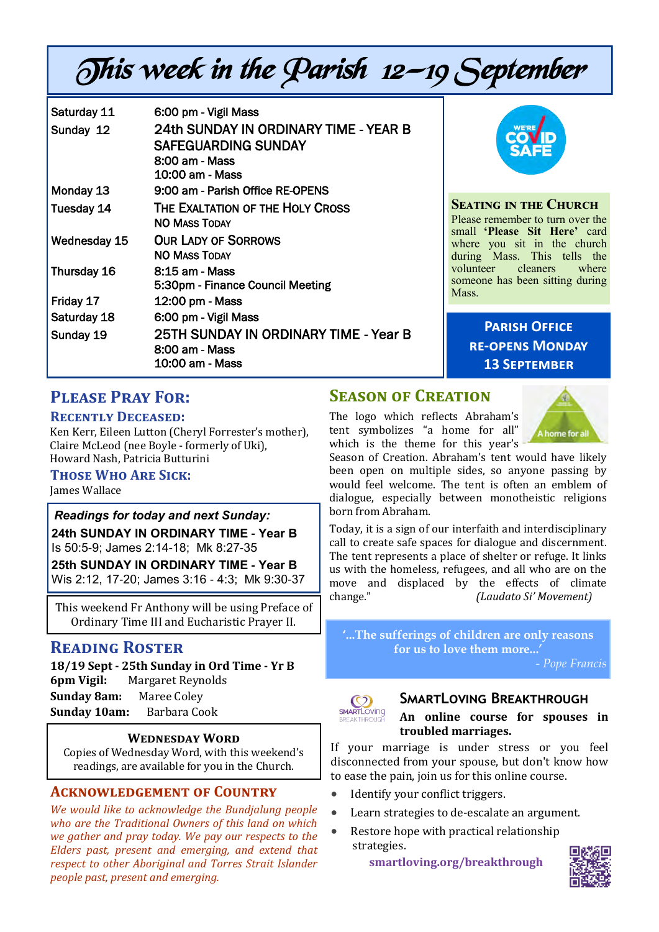# This week in the Parish 12—19 September

| Saturday 11  | 6:00 pm - Vigil Mass                  |
|--------------|---------------------------------------|
| Sunday 12    | 24th SUNDAY IN ORDINARY TIME - YEAR B |
|              | <b>SAFEGUARDING SUNDAY</b>            |
|              | 8:00 am - Mass                        |
|              | 10:00 am - Mass                       |
| Monday 13    | 9:00 am - Parish Office RE-OPENS      |
| Tuesday 14   | THE EXALTATION OF THE HOLY CROSS      |
|              | <b>NO MASS TODAY</b>                  |
| Wednesday 15 | <b>OUR LADY OF SORROWS</b>            |
|              | <b>NO MASS TODAY</b>                  |
| Thursday 16  | 8:15 am - Mass                        |
|              | 5:30pm - Finance Council Meeting      |
| Friday 17    | 12:00 pm - Mass                       |
| Saturday 18  | 6:00 pm - Vigil Mass                  |
| Sunday 19    | 25TH SUNDAY IN ORDINARY TIME - Year B |
|              | 8:00 am - Mass                        |
|              | 10:00 am - Mass                       |



#### **Seating in the Church**

Please remember to turn over the small **'Please Sit Here'** card where you sit in the church during Mass. This tells the volunteer cleaners where someone has been sitting during Mass.

> **Parish Office re-opens Monday 13 September**

# **Please Pray For:**

#### **Recently Deceased:**

Ken Kerr, Eileen Lutton (Cheryl Forrester's mother), Claire McLeod (nee Boyle - formerly of Uki), Howard Nash, Patricia Butturini

#### **Those Who Are Sick:**

James Wallace

*Readings for today and next Sunday:*  **24th SUNDAY IN ORDINARY TIME - Year B**  Is 50:5-9; James 2:14-18; Mk 8:27-35 **25th SUNDAY IN ORDINARY TIME - Year B**  Wis 2:12, 17-20; James 3:16 - 4:3; Mk 9:30-37

This weekend Fr Anthony will be using Preface of Ordinary Time III and Eucharistic Prayer II.

## **Reading Roster**

**18/19 Sept - 25th Sunday in Ord Time - Yr B 6pm Vigil:** Margaret Reynolds **Sunday 8am:** Maree Coley **Sunday 10am:** Barbara Cook

#### **Wednesday Word**

Copies of Wednesday Word, with this weekend's readings, are available for you in the Church.

#### **Acknowledgement of Country**

*We would like to acknowledge the Bundjalung people who are the Traditional Owners of this land on which we gather and pray today. We pay our respects to the Elders past, present and emerging, and extend that respect to other Aboriginal and Torres Strait Islander people past, present and emerging.* 

## **Season of Creation**

The logo which reflects Abraham's tent symbolizes "a home for all" which is the theme for this year's



Season of Creation. Abraham's tent would have likely been open on multiple sides, so anyone passing by would feel welcome. The tent is often an emblem of dialogue, especially between monotheistic religions born from Abraham.

Today, it is a sign of our interfaith and interdisciplinary call to create safe spaces for dialogue and discernment. The tent represents a place of shelter or refuge. It links us with the homeless, refugees, and all who are on the move and displaced by the effects of climate change." *(Laudato Si' Movement)*

**'...The sufferings of children are only reasons for us to love them more...'**

*- Pope Francis*



### **SmartLoving Breakthrough**

**An online course for spouses in troubled marriages.**

If your marriage is under stress or you feel disconnected from your spouse, but don't know how to ease the pain, join us for this online course.

- Identify your conflict triggers.
- Learn strategies to de-escalate an argument.
- Restore hope with practical relationship strategies.

 **[smartloving.org/breakthrough](https://pmrc.ontraport.com/c/s/2Q9/Dmfj/z/vlq7/6CB/6gp8HJ/vvPirRrDv4/P/P/aY)**

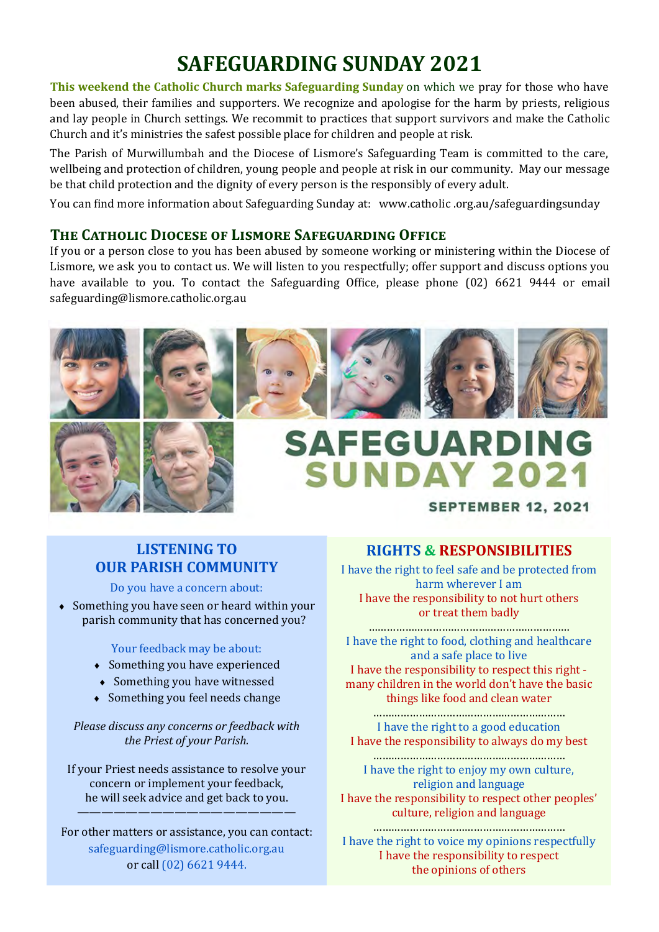# **SAFEGUARDING SUNDAY 2021**

**This weekend the Catholic Church marks Safeguarding Sunday** on which we pray for those who have been abused, their families and supporters. We recognize and apologise for the harm by priests, religious and lay people in Church settings. We recommit to practices that support survivors and make the Catholic Church and it's ministries the safest possible place for children and people at risk.

The Parish of Murwillumbah and the Diocese of Lismore's Safeguarding Team is committed to the care, wellbeing and protection of children, young people and people at risk in our community. May our message be that child protection and the dignity of every person is the responsibly of every adult.

You can find more information about Safeguarding Sunday at: www.catholic .org.au/safeguardingsunday

### **The Catholic Diocese of Lismore Safeguarding Office**

If you or a person close to you has been abused by someone working or ministering within the Diocese of Lismore, we ask you to contact us. We will listen to you respectfully; offer support and discuss options you have available to you. To contact the Safeguarding Office, please phone (02) 6621 9444 or email safeguarding@lismore.catholic.org.au















# **SAFEGUARDING SUNDAY 2021**

### **SEPTEMBER 12, 2021**

# **LISTENING TO OUR PARISH COMMUNITY**

Do you have a concern about:

• Something you have seen or heard within your parish community that has concerned you?

#### Your feedback may be about:

- Something you have experienced
- Something you have witnessed
- Something you feel needs change

*Please discuss any concerns or feedback with the Priest of your Parish.*

If your Priest needs assistance to resolve your concern or implement your feedback, he will seek advice and get back to you. ——————————————————

For other matters or assistance, you can contact: safeguarding@lismore.catholic.org.au or call (02) 6621 9444.

## **RIGHTS & RESPONSIBILITIES**

I have the right to feel safe and be protected from harm wherever I am I have the responsibility to not hurt others or treat them badly

………………………………………………………… I have the right to food, clothing and healthcare and a safe place to live I have the responsibility to respect this right many children in the world don't have the basic things like food and clean water

……………………………………………………… I have the right to a good education I have the responsibility to always do my best

……………………………………………………… I have the right to enjoy my own culture, religion and language I have the responsibility to respect other peoples' culture, religion and language

……………………………………………………… I have the right to voice my opinions respectfully I have the responsibility to respect the opinions of others